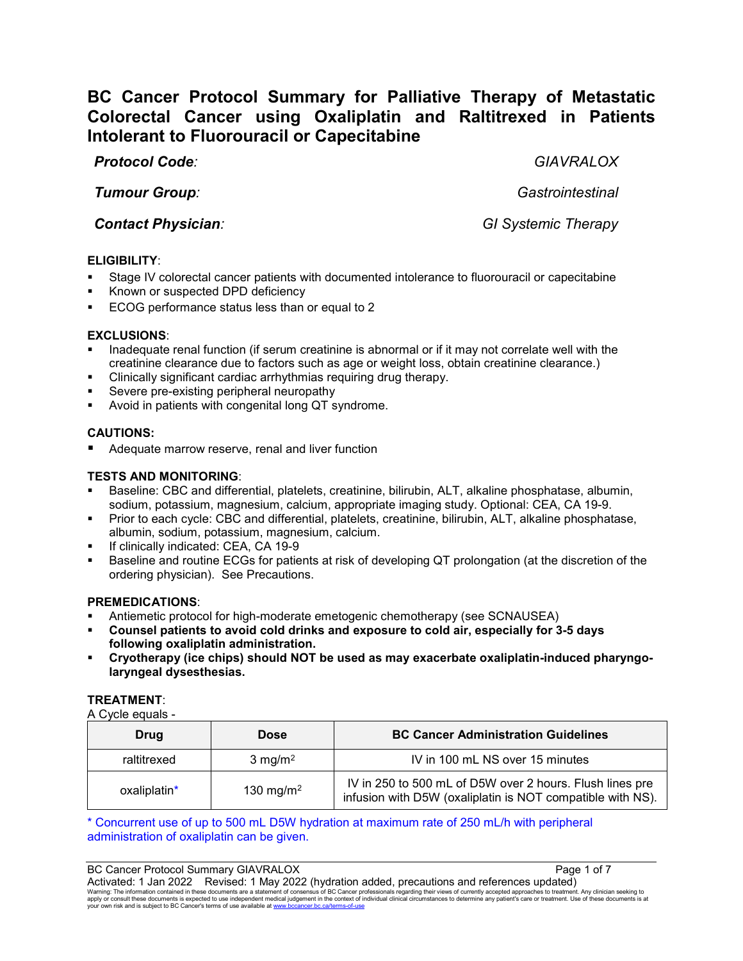# **BC Cancer Protocol Summary for Palliative Therapy of Metastatic Colorectal Cancer using Oxaliplatin and Raltitrexed in Patients Intolerant to Fluorouracil or Capecitabine**

# *Protocol Code: GIAVRALOX*

*Tumour Group: Gastrointestinal*

*Contact Physician: GI Systemic Therapy*

# **ELIGIBILITY**:

- Stage IV colorectal cancer patients with documented intolerance to fluorouracil or capecitabine
- Known or suspected DPD deficiency
- ECOG performance status less than or equal to 2

#### **EXCLUSIONS**:

- Inadequate renal function (if serum creatinine is abnormal or if it may not correlate well with the creatinine clearance due to factors such as age or weight loss, obtain creatinine clearance.)
- Clinically significant cardiac arrhythmias requiring drug therapy.
- Severe pre-existing peripheral neuropathy
- Avoid in patients with congenital long QT syndrome.

# **CAUTIONS:**

Adequate marrow reserve, renal and liver function

# **TESTS AND MONITORING**:

- Baseline: CBC and differential, platelets, creatinine, bilirubin, ALT, alkaline phosphatase, albumin, sodium, potassium, magnesium, calcium, appropriate imaging study. Optional: CEA, CA 19-9.
- Prior to each cycle: CBC and differential, platelets, creatinine, bilirubin, ALT, alkaline phosphatase, albumin, sodium, potassium, magnesium, calcium.
- If clinically indicated: CEA, CA 19-9
- Baseline and routine ECGs for patients at risk of developing QT prolongation (at the discretion of the ordering physician). See Precautions.

#### **PREMEDICATIONS**:

- Antiemetic protocol for high-moderate emetogenic chemotherapy (see SCNAUSEA)
- **Counsel patients to avoid cold drinks and exposure to cold air, especially for 3-5 days following oxaliplatin administration.**
- **Cryotherapy (ice chips) should NOT be used as may exacerbate oxaliplatin-induced pharyngolaryngeal dysesthesias.**

#### **TREATMENT**:

A Cycle equals -

| <b>Drug</b>  | <b>Dose</b>           | <b>BC Cancer Administration Guidelines</b>                                                                             |
|--------------|-----------------------|------------------------------------------------------------------------------------------------------------------------|
| raltitrexed  | $3$ mg/m <sup>2</sup> | IV in 100 mL NS over 15 minutes                                                                                        |
| oxaliplatin* | 130 mg/m <sup>2</sup> | IV in 250 to 500 mL of D5W over 2 hours. Flush lines pre<br>infusion with D5W (oxaliplatin is NOT compatible with NS). |

\* Concurrent use of up to 500 mL D5W hydration at maximum rate of 250 mL/h with peripheral administration of oxaliplatin can be given.

BC Cancer Protocol Summary GIAVRALOX **Page 1 of 7** and 7 Activated: 1 Jan 2022 Revised: 1 May 2022 (hydration added, precautions and references updated)<br>Warning: The information contained in these documents are a statement of consensus of BC Cancer professionals regarding their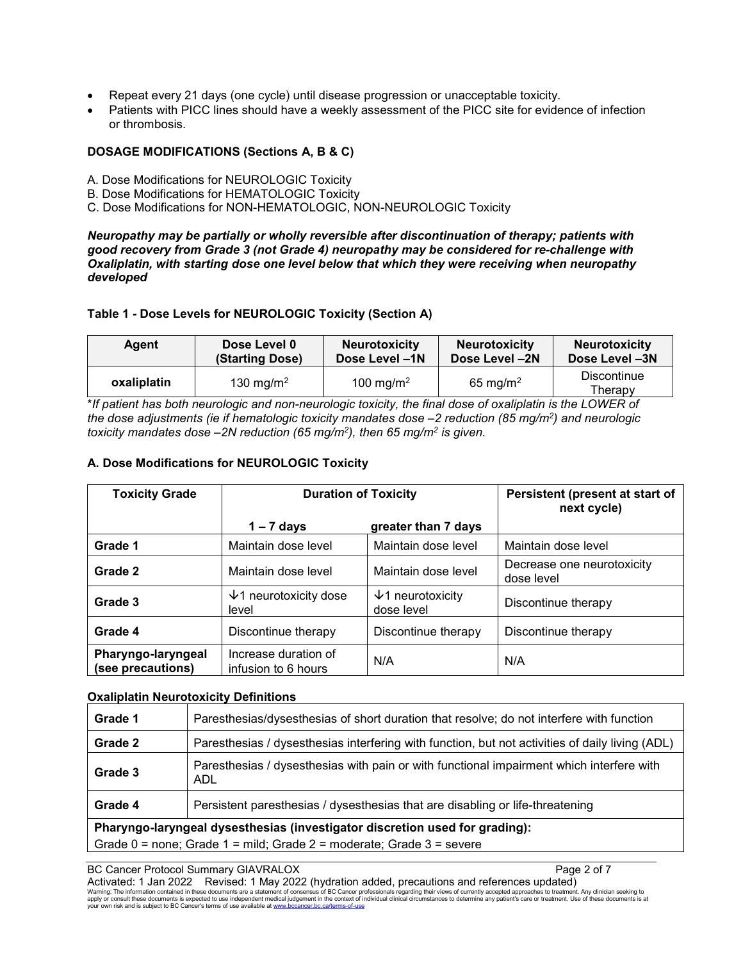- Repeat every 21 days (one cycle) until disease progression or unacceptable toxicity.
- Patients with PICC lines should have a weekly assessment of the PICC site for evidence of infection or thrombosis.

#### **DOSAGE MODIFICATIONS (Sections A, B & C)**

- A. Dose Modifications for NEUROLOGIC Toxicity
- B. Dose Modifications for HEMATOLOGIC Toxicity
- C. Dose Modifications for NON-HEMATOLOGIC, NON-NEUROLOGIC Toxicity

*Neuropathy may be partially or wholly reversible after discontinuation of therapy; patients with good recovery from Grade 3 (not Grade 4) neuropathy may be considered for re-challenge with Oxaliplatin, with starting dose one level below that which they were receiving when neuropathy developed*

#### **Table 1 - Dose Levels for NEUROLOGIC Toxicity (Section A)**

| Agent       | Dose Level 0          | <b>Neurotoxicity</b>  | <b>Neurotoxicity</b> | <b>Neurotoxicity</b>   |
|-------------|-----------------------|-----------------------|----------------------|------------------------|
|             | (Starting Dose)       | Dose Level -1N        | Dose Level -2N       | Dose Level -3N         |
| oxaliplatin | 130 mg/m <sup>2</sup> | 100 mg/m <sup>2</sup> | 65 mg/m <sup>2</sup> | Discontinue<br>Therapy |

\**If patient has both neurologic and non-neurologic toxicity, the final dose of oxaliplatin is the LOWER of the dose adjustments (ie if hematologic toxicity mandates dose –2 reduction (85 mg/m2) and neurologic toxicity mandates dose –2N reduction (65 mg/m2), then 65 mg/m2 is given.*

#### **A. Dose Modifications for NEUROLOGIC Toxicity**

| <b>Toxicity Grade</b>                   | <b>Duration of Toxicity</b>                 |                                        | Persistent (present at start of<br>next cycle) |
|-----------------------------------------|---------------------------------------------|----------------------------------------|------------------------------------------------|
|                                         | $1 - 7$ days                                | greater than 7 days                    |                                                |
| Grade 1                                 | Maintain dose level                         | Maintain dose level                    | Maintain dose level                            |
| Grade 2                                 | Maintain dose level                         | Maintain dose level                    | Decrease one neurotoxicity<br>dose level       |
| Grade 3                                 | $\sqrt{1}$ neurotoxicity dose<br>level      | $\sqrt{1}$ neurotoxicity<br>dose level | Discontinue therapy                            |
| Grade 4                                 | Discontinue therapy                         | Discontinue therapy                    | Discontinue therapy                            |
| Pharyngo-laryngeal<br>(see precautions) | Increase duration of<br>infusion to 6 hours | N/A                                    | N/A                                            |

#### **Oxaliplatin Neurotoxicity Definitions**

| Grade 1                                                                     | Paresthesias/dysesthesias of short duration that resolve; do not interfere with function        |  |  |  |
|-----------------------------------------------------------------------------|-------------------------------------------------------------------------------------------------|--|--|--|
| Grade 2                                                                     | Paresthesias / dysesthesias interfering with function, but not activities of daily living (ADL) |  |  |  |
| Grade 3                                                                     | Paresthesias / dysesthesias with pain or with functional impairment which interfere with<br>ADL |  |  |  |
| Grade 4                                                                     | Persistent paresthesias / dysesthesias that are disabling or life-threatening                   |  |  |  |
| Pharyngo-laryngeal dysesthesias (investigator discretion used for grading): |                                                                                                 |  |  |  |
| Grade 0 = none; Grade 1 = mild; Grade 2 = moderate; Grade 3 = severe        |                                                                                                 |  |  |  |

#### BC Cancer Protocol Summary GIAVRALOX **Page 2 of 7** and 2 of 7

Activated: 1 Jan 2022 Revised: 1 May 2022 (hydration added, precautions and references updated)<br>Warning: The information contained in these documents are a statement of consensus of BC Cancer professionals regarding their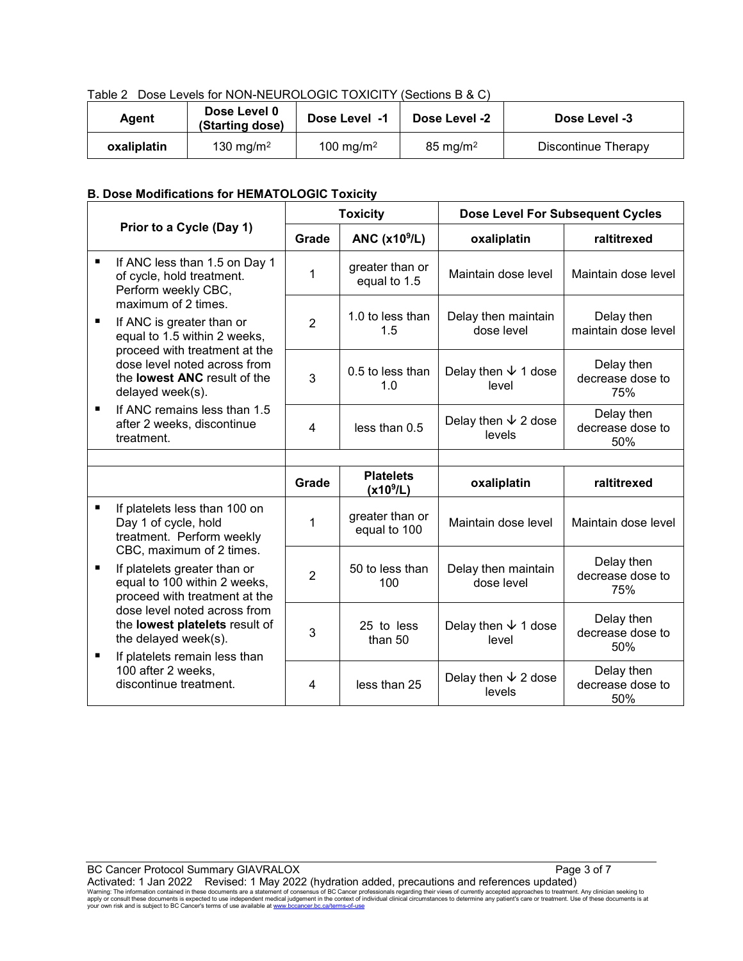| Table 2 Dose Levels for NON-NEUROLOGIC TOXICITY (Sections B & C) |  |
|------------------------------------------------------------------|--|
|                                                                  |  |

| Agent       | Dose Level 0<br>(Starting dose) | Dose Level -1         | Dose Level -2       | Dose Level -3       |
|-------------|---------------------------------|-----------------------|---------------------|---------------------|
| oxaliplatin | 130 mg/m <sup>2</sup>           | 100 mg/m <sup>2</sup> | $85 \text{ mg/m}^2$ | Discontinue Therapy |

# **B. Dose Modifications for HEMATOLOGIC Toxicity**

|   |                                                                                                                           | <b>Toxicity</b> |                                   | <b>Dose Level For Subsequent Cycles</b> |                                       |
|---|---------------------------------------------------------------------------------------------------------------------------|-----------------|-----------------------------------|-----------------------------------------|---------------------------------------|
|   | Prior to a Cycle (Day 1)                                                                                                  | Grade           | ANC $(x10^9/L)$                   | oxaliplatin                             | raltitrexed                           |
| ٠ | If ANC less than 1.5 on Day 1<br>of cycle, hold treatment.<br>Perform weekly CBC,                                         | 1               | greater than or<br>equal to 1.5   | Maintain dose level                     | Maintain dose level                   |
| П | maximum of 2 times.<br>If ANC is greater than or<br>equal to 1.5 within 2 weeks,<br>proceed with treatment at the         | $\overline{2}$  | 1.0 to less than<br>1.5           | Delay then maintain<br>dose level       | Delay then<br>maintain dose level     |
|   | dose level noted across from<br>the <b>lowest ANC</b> result of the<br>delayed week(s).                                   | 3               | 0.5 to less than<br>1.0           | Delay then $\sqrt{ }$ 1 dose<br>level   | Delay then<br>decrease dose to<br>75% |
| п | If ANC remains less than 1.5<br>after 2 weeks, discontinue<br>treatment.                                                  | 4               | less than 0.5                     | Delay then $\sqrt{2}$ dose<br>levels    | Delay then<br>decrease dose to<br>50% |
|   |                                                                                                                           |                 |                                   |                                         |                                       |
|   |                                                                                                                           | Grade           | <b>Platelets</b><br>$(x10^{9}/L)$ | oxaliplatin                             | raltitrexed                           |
| ٠ | If platelets less than 100 on<br>Day 1 of cycle, hold<br>treatment. Perform weekly                                        | 1               | greater than or<br>equal to 100   | Maintain dose level                     | Maintain dose level                   |
| п | CBC, maximum of 2 times.<br>If platelets greater than or<br>equal to 100 within 2 weeks,<br>proceed with treatment at the | $\overline{2}$  | 50 to less than<br>100            | Delay then maintain<br>dose level       | Delay then<br>decrease dose to<br>75% |
| п | dose level noted across from<br>the lowest platelets result of<br>the delayed week(s).<br>If platelets remain less than   | 3               | 25 to less<br>than $50$           | Delay then $\sqrt{ }$ 1 dose<br>level   | Delay then<br>decrease dose to<br>50% |
|   | 100 after 2 weeks,<br>discontinue treatment.                                                                              | 4               | less than 25                      | Delay then $\sqrt{2}$ dose<br>levels    | Delay then<br>decrease dose to<br>50% |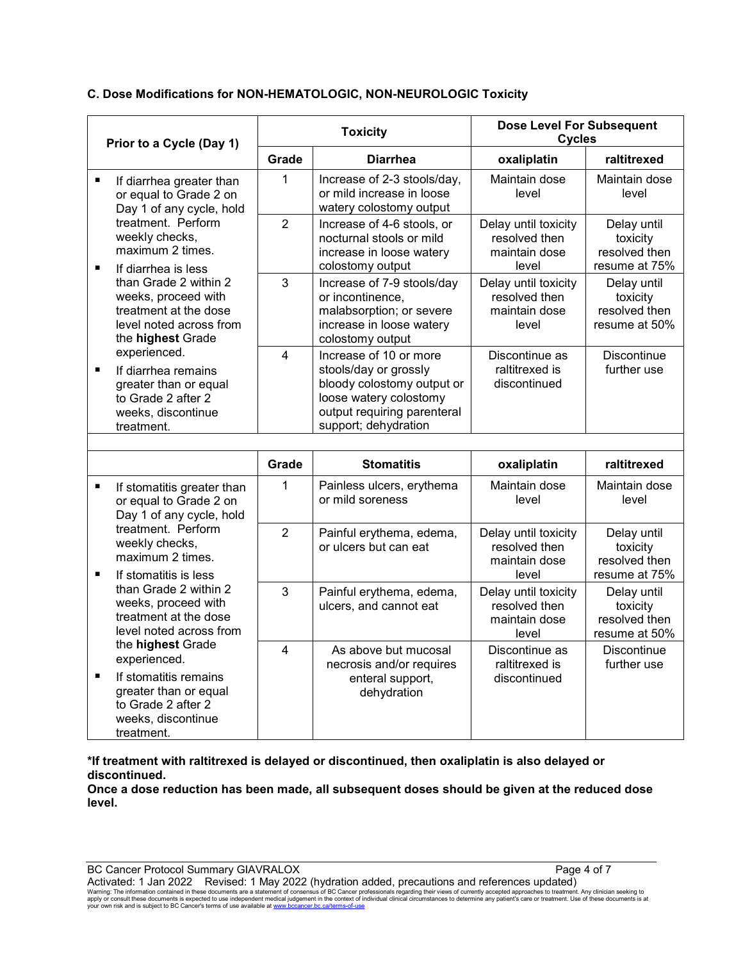# **C. Dose Modifications for NON-HEMATOLOGIC, NON-NEUROLOGIC Toxicity**

| Prior to a Cycle (Day 1) |                                                                                                                                                                | <b>Toxicity</b> |                                                                                                                                                                | <b>Dose Level For Subsequent</b><br><b>Cycles</b>               |                                                           |
|--------------------------|----------------------------------------------------------------------------------------------------------------------------------------------------------------|-----------------|----------------------------------------------------------------------------------------------------------------------------------------------------------------|-----------------------------------------------------------------|-----------------------------------------------------------|
|                          |                                                                                                                                                                | Grade           | <b>Diarrhea</b>                                                                                                                                                | oxaliplatin                                                     | raltitrexed                                               |
| $\blacksquare$           | If diarrhea greater than<br>or equal to Grade 2 on<br>Day 1 of any cycle, hold                                                                                 | $\mathbf 1$     | Increase of 2-3 stools/day,<br>or mild increase in loose<br>watery colostomy output                                                                            | Maintain dose<br>level                                          | Maintain dose<br>level                                    |
|                          | treatment. Perform<br>weekly checks,<br>maximum 2 times.                                                                                                       | $\overline{2}$  | Increase of 4-6 stools, or<br>nocturnal stools or mild<br>increase in loose watery<br>colostomy output                                                         | Delay until toxicity<br>resolved then<br>maintain dose<br>level | Delay until<br>toxicity<br>resolved then<br>resume at 75% |
|                          | $\blacksquare$<br>If diarrhea is less<br>than Grade 2 within 2<br>weeks, proceed with<br>treatment at the dose<br>level noted across from<br>the highest Grade | 3               | Increase of 7-9 stools/day<br>or incontinence,<br>malabsorption; or severe<br>increase in loose watery<br>colostomy output                                     | Delay until toxicity<br>resolved then<br>maintain dose<br>level | Delay until<br>toxicity<br>resolved then<br>resume at 50% |
| $\blacksquare$           | experienced.<br>If diarrhea remains<br>greater than or equal<br>to Grade 2 after 2<br>weeks, discontinue<br>treatment.                                         | 4               | Increase of 10 or more<br>stools/day or grossly<br>bloody colostomy output or<br>loose watery colostomy<br>output requiring parenteral<br>support; dehydration | Discontinue as<br>raltitrexed is<br>discontinued                | <b>Discontinue</b><br>further use                         |
|                          |                                                                                                                                                                |                 |                                                                                                                                                                |                                                                 |                                                           |
|                          |                                                                                                                                                                | Grade           | <b>Stomatitis</b>                                                                                                                                              | oxaliplatin                                                     | raltitrexed                                               |
| $\blacksquare$           | If stomatitis greater than<br>or equal to Grade 2 on<br>Day 1 of any cycle, hold                                                                               | 1               | Painless ulcers, erythema<br>or mild soreness                                                                                                                  | Maintain dose<br>level                                          | Maintain dose<br>level                                    |
| $\blacksquare$           | treatment. Perform<br>weekly checks,<br>maximum 2 times.<br>If stomatitis is less                                                                              | $\overline{2}$  | Painful erythema, edema,<br>or ulcers but can eat                                                                                                              | Delay until toxicity<br>resolved then<br>maintain dose<br>level | Delay until<br>toxicity<br>resolved then<br>resume at 75% |
|                          | than Grade 2 within 2<br>weeks, proceed with<br>treatment at the dose<br>level noted across from                                                               | 3               | Painful erythema, edema,<br>ulcers, and cannot eat                                                                                                             | Delay until toxicity<br>resolved then<br>maintain dose<br>level | Delay until<br>toxicity<br>resolved then<br>resume at 50% |
| ٠                        | the highest Grade<br>experienced.<br>If stomatitis remains<br>greater than or equal<br>to Grade 2 after 2<br>weeks, discontinue<br>treatment.                  | $\overline{4}$  | As above but mucosal<br>necrosis and/or requires<br>enteral support,<br>dehydration                                                                            | Discontinue as<br>raltitrexed is<br>discontinued                | Discontinue<br>further use                                |

**\*If treatment with raltitrexed is delayed or discontinued, then oxaliplatin is also delayed or discontinued.**

**Once a dose reduction has been made, all subsequent doses should be given at the reduced dose level.**

BC Cancer Protocol Summary GIAVRALOX Page 4 of 7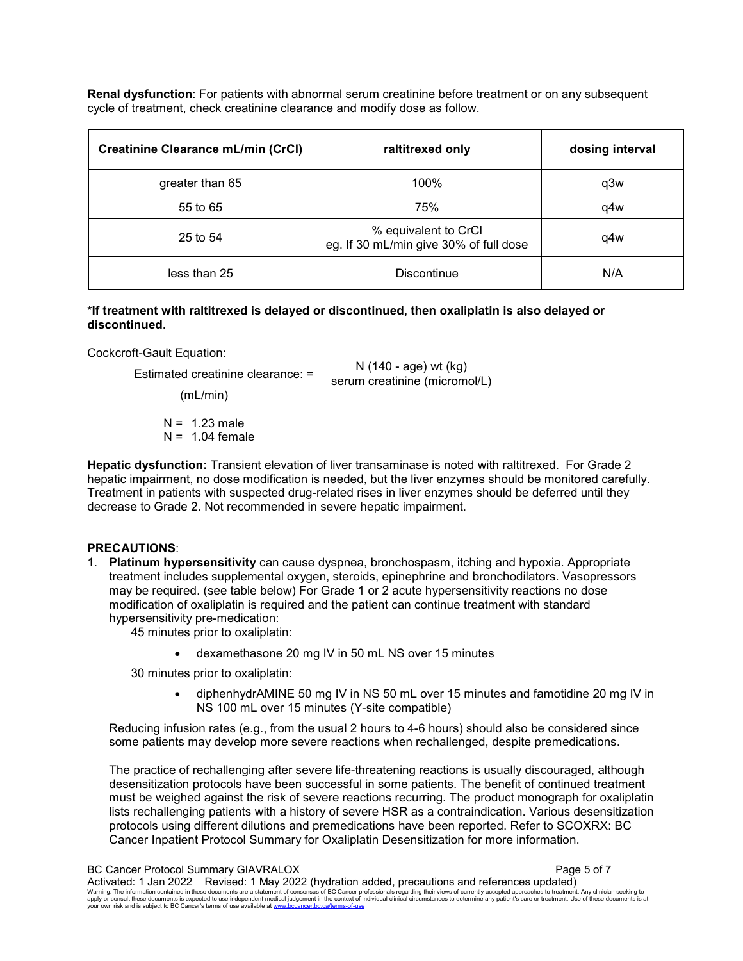**Renal dysfunction**: For patients with abnormal serum creatinine before treatment or on any subsequent cycle of treatment, check creatinine clearance and modify dose as follow.

| <b>Creatinine Clearance mL/min (CrCl)</b> | raltitrexed only                                               | dosing interval |
|-------------------------------------------|----------------------------------------------------------------|-----------------|
| greater than 65                           | 100%                                                           | q3w             |
| 55 to 65                                  | 75%                                                            | a4w             |
| 25 to 54                                  | % equivalent to CrCl<br>eg. If 30 mL/min give 30% of full dose | q4w             |
| less than 25                              | <b>Discontinue</b>                                             | N/A             |

#### **\*If treatment with raltitrexed is delayed or discontinued, then oxaliplatin is also delayed or discontinued.**

Cockcroft-Gault Equation:

Estimated creatinine clearance: =  $\frac{N (140 - age) wt (kg)}{2.885}$ serum creatinine (micromol/L)

(mL/min)

 $N = 1.23$  male  $N = 1.04$  female

**Hepatic dysfunction:** Transient elevation of liver transaminase is noted with raltitrexed. For Grade 2 hepatic impairment, no dose modification is needed, but the liver enzymes should be monitored carefully. Treatment in patients with suspected drug-related rises in liver enzymes should be deferred until they decrease to Grade 2. Not recommended in severe hepatic impairment.

# **PRECAUTIONS**:

1. **Platinum hypersensitivity** can cause dyspnea, bronchospasm, itching and hypoxia. Appropriate treatment includes supplemental oxygen, steroids, epinephrine and bronchodilators. Vasopressors may be required. (see table below) For Grade 1 or 2 acute hypersensitivity reactions no dose modification of oxaliplatin is required and the patient can continue treatment with standard hypersensitivity pre-medication:

45 minutes prior to oxaliplatin:

• dexamethasone 20 mg IV in 50 mL NS over 15 minutes

30 minutes prior to oxaliplatin:

• diphenhydrAMINE 50 mg IV in NS 50 mL over 15 minutes and famotidine 20 mg IV in NS 100 mL over 15 minutes (Y-site compatible)

Reducing infusion rates (e.g., from the usual 2 hours to 4-6 hours) should also be considered since some patients may develop more severe reactions when rechallenged, despite premedications.

The practice of rechallenging after severe life-threatening reactions is usually discouraged, although desensitization protocols have been successful in some patients. The benefit of continued treatment must be weighed against the risk of severe reactions recurring. The product monograph for oxaliplatin lists rechallenging patients with a history of severe HSR as a contraindication. Various desensitization protocols using different dilutions and premedications have been reported. Refer to SCOXRX: BC Cancer Inpatient Protocol Summary for Oxaliplatin Desensitization for more information.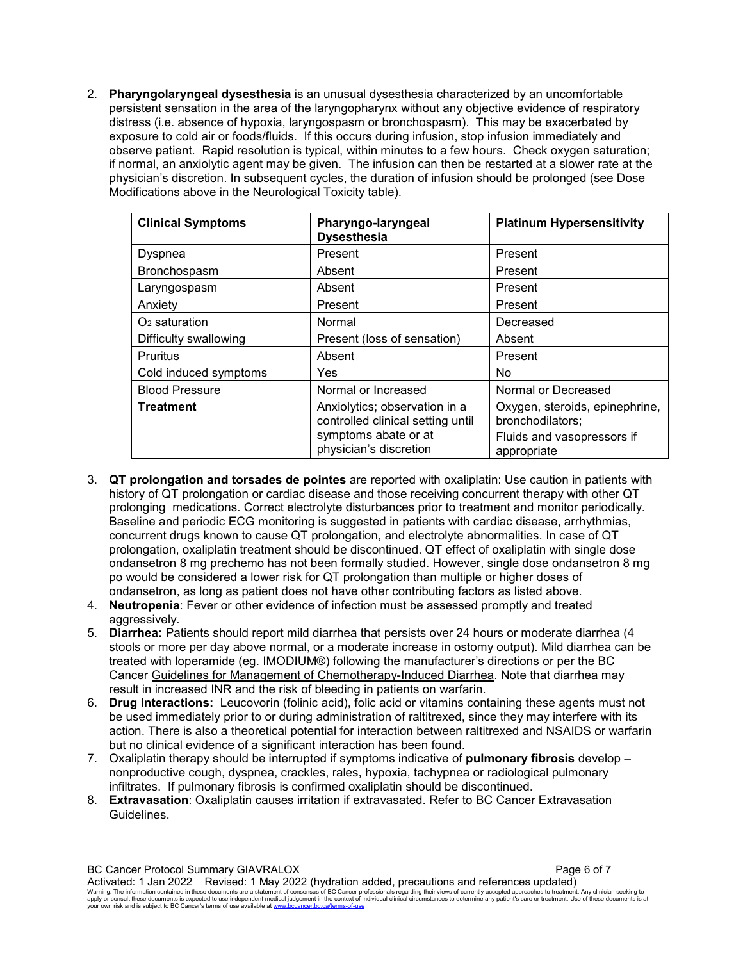2. **Pharyngolaryngeal dysesthesia** is an unusual dysesthesia characterized by an uncomfortable persistent sensation in the area of the laryngopharynx without any objective evidence of respiratory distress (i.e. absence of hypoxia, laryngospasm or bronchospasm). This may be exacerbated by exposure to cold air or foods/fluids. If this occurs during infusion, stop infusion immediately and observe patient. Rapid resolution is typical, within minutes to a few hours. Check oxygen saturation; if normal, an anxiolytic agent may be given. The infusion can then be restarted at a slower rate at the physician's discretion. In subsequent cycles, the duration of infusion should be prolonged (see Dose Modifications above in the Neurological Toxicity table).

| <b>Clinical Symptoms</b> | Pharyngo-laryngeal<br><b>Dysesthesia</b>                                                                             | <b>Platinum Hypersensitivity</b>                                                                |
|--------------------------|----------------------------------------------------------------------------------------------------------------------|-------------------------------------------------------------------------------------------------|
| Dyspnea                  | Present                                                                                                              | Present                                                                                         |
| Bronchospasm             | Absent                                                                                                               | Present                                                                                         |
| Laryngospasm             | Absent                                                                                                               | Present                                                                                         |
| Anxiety                  | Present                                                                                                              | Present                                                                                         |
| $O2$ saturation          | Normal                                                                                                               | Decreased                                                                                       |
| Difficulty swallowing    | Present (loss of sensation)                                                                                          | Absent                                                                                          |
| <b>Pruritus</b>          | Absent                                                                                                               | Present                                                                                         |
| Cold induced symptoms    | <b>Yes</b>                                                                                                           | No                                                                                              |
| <b>Blood Pressure</b>    | Normal or Increased                                                                                                  | Normal or Decreased                                                                             |
| <b>Treatment</b>         | Anxiolytics; observation in a<br>controlled clinical setting until<br>symptoms abate or at<br>physician's discretion | Oxygen, steroids, epinephrine,<br>bronchodilators;<br>Fluids and vasopressors if<br>appropriate |

- 3. **QT prolongation and torsades de pointes** are reported with oxaliplatin: Use caution in patients with history of QT prolongation or cardiac disease and those receiving concurrent therapy with other QT prolonging medications. Correct electrolyte disturbances prior to treatment and monitor periodically. Baseline and periodic ECG monitoring is suggested in patients with cardiac disease, arrhythmias, concurrent drugs known to cause QT prolongation, and electrolyte abnormalities. In case of QT prolongation, oxaliplatin treatment should be discontinued. QT effect of oxaliplatin with single dose ondansetron 8 mg prechemo has not been formally studied. However, single dose ondansetron 8 mg po would be considered a lower risk for QT prolongation than multiple or higher doses of ondansetron, as long as patient does not have other contributing factors as listed above.
- 4. **Neutropenia**: Fever or other evidence of infection must be assessed promptly and treated aggressively.
- 5. **Diarrhea:** Patients should report mild diarrhea that persists over 24 hours or moderate diarrhea (4 stools or more per day above normal, or a moderate increase in ostomy output). Mild diarrhea can be treated with loperamide (eg. IMODIUM®) following the manufacturer's directions or per the BC Cancer [Guidelines for Management of Chemotherapy-Induced Diarrhea.](http://www.bccancer.bc.ca/health-professionals/professional-resources/cancer-management-guidelines/supportive-care) Note that diarrhea may result in increased INR and the risk of bleeding in patients on warfarin.
- 6. **Drug Interactions:** Leucovorin (folinic acid), folic acid or vitamins containing these agents must not be used immediately prior to or during administration of raltitrexed, since they may interfere with its action. There is also a theoretical potential for interaction between raltitrexed and NSAIDS or warfarin but no clinical evidence of a significant interaction has been found.
- 7. Oxaliplatin therapy should be interrupted if symptoms indicative of **pulmonary fibrosis** develop nonproductive cough, dyspnea, crackles, rales, hypoxia, tachypnea or radiological pulmonary infiltrates. If pulmonary fibrosis is confirmed oxaliplatin should be discontinued.
- 8. **Extravasation**: Oxaliplatin causes irritation if extravasated. Refer to BC Cancer Extravasation Guidelines.